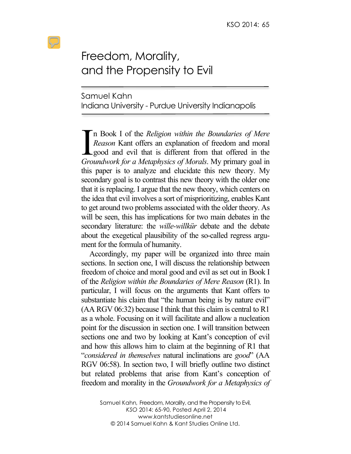## Freedom, Morality, and the Propensity to Evil

Samuel Kahn Indiana University - Purdue University Indianapolis

n Book I of the *Religion within the Boundaries of Mere Reason* Kant offers an explanation of freedom and moral Lgood and evil that is different from that offered in the In Book I of the *Religion within the Boundaries of Mere*<br> *Reason* Kant offers an explanation of freedom and moral<br>
good and evil that is different from that offered in the<br> *Groundwork for a Metaphysics of Morals*. My pr this paper is to analyze and elucidate this new theory. My secondary goal is to contrast this new theory with the older one that it is replacing. I argue that the new theory, which centers on the idea that evil involves a sort of misprioritizing, enables Kant to get around two problems associated with the older theory. As will be seen, this has implications for two main debates in the secondary literature: the *wille-willkür* debate and the debate about the exegetical plausibility of the so-called regress argument for the formula of humanity.

Accordingly, my paper will be organized into three main sections. In section one, I will discuss the relationship between freedom of choice and moral good and evil as set out in Book I of the *Religion within the Boundaries of Mere Reason* (R1). In particular, I will focus on the arguments that Kant offers to substantiate his claim that "the human being is by nature evil" (AA RGV 06:32) because I think that this claim is central to R1 as a whole. Focusing on it will facilitate and allow a nucleation point for the discussion in section one. I will transition between sections one and two by looking at Kant's conception of evil and how this allows him to claim at the beginning of R1 that "*considered in themselves* natural inclinations are *good*" (AA RGV 06:58). In section two, I will briefly outline two distinct but related problems that arise from Kant's conception of freedom and morality in the *Groundwork for a Metaphysics of*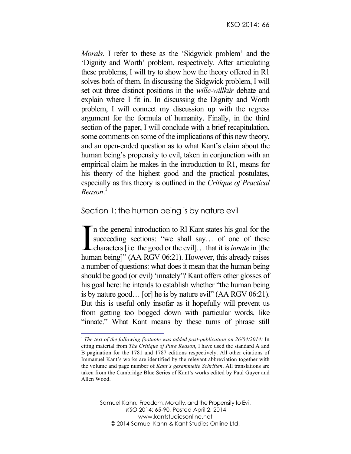*Morals*. I refer to these as the 'Sidgwick problem' and the 'Dignity and Worth' problem, respectively. After articulating these problems, I will try to show how the theory offered in R1 solves both of them. In discussing the Sidgwick problem, I will set out three distinct positions in the *wille-willkür* debate and explain where I fit in. In discussing the Dignity and Worth problem, I will connect my discussion up with the regress argument for the formula of humanity. Finally, in the third section of the paper, I will conclude with a brief recapitulation, some comments on some of the implications of this new theory, and an open-ended question as to what Kant's claim about the human being's propensity to evil, taken in conjunction with an empirical claim he makes in the introduction to R1, means for his theory of the highest good and the practical postulates, especially as this theory is outlined in the *Critique of Practical Reason*. 1

## Section 1: the human being is by nature evil

n the general introduction to RI Kant states his goal for the succeeding sections: "we shall say... of one of these characters [i.e. the good or the evil]… that it is *innate* in [the human being]" (AA RGV 06:21). However, this already raises a number of questions: what does it mean that the human being should be good (or evil) 'innately'? Kant offers other glosses of his goal here: he intends to establish whether "the human being is by nature good… [or] he is by nature evil" (AA RGV 06:21). But this is useful only insofar as it hopefully will prevent us from getting too bogged down with particular words, like "innate." What Kant means by these turns of phrase still I<br>hum

<sup>&</sup>lt;sup>1</sup> *The text of the following footnote was added post-publication on 26/04/2014:* In citing material from *The Critique of Pure Reason*, I have used the standard A and B pagination for the 1781 and 1787 editions respectively. All other citations of Immanuel Kant's works are identified by the relevant abbreviation together with the volume and page number of *Kant's gesammelte Schriften*. All translations are taken from the Cambridge Blue Series of Kant's works edited by Paul Guyer and Allen Wood.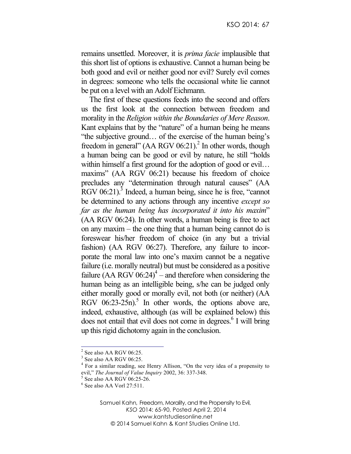remains unsettled. Moreover, it is *prima facie* implausible that this short list of options is exhaustive. Cannot a human being be both good and evil or neither good nor evil? Surely evil comes in degrees: someone who tells the occasional white lie cannot be put on a level with an Adolf Eichmann.

The first of these questions feeds into the second and offers us the first look at the connection between freedom and morality in the *Religion within the Boundaries of Mere Reason*. Kant explains that by the "nature" of a human being he means "the subjective ground… of the exercise of the human being's freedom in general"  $(AA RGV 06:21)<sup>2</sup>$  In other words, though a human being can be good or evil by nature, he still "holds within himself a first ground for the adoption of good or evil... maxims" (AA RGV 06:21) because his freedom of choice precludes any "determination through natural causes" (AA RGV 06:21).<sup>3</sup> Indeed, a human being, since he is free, "cannot" be determined to any actions through any incentive *except so far as the human being has incorporated it into his maxim*" (AA RGV 06:24). In other words, a human being is free to act on any maxim – the one thing that a human being cannot do is foreswear his/her freedom of choice (in any but a trivial fashion) (AA RGV 06:27). Therefore, any failure to incorporate the moral law into one's maxim cannot be a negative failure (i.e. morally neutral) but must be considered as a positive failure (AA RGV  $06:24$ )<sup>4</sup> – and therefore when considering the human being as an intelligible being, s/he can be judged only either morally good or morally evil, not both (or neither) (AA RGV  $06:23-25n$ .<sup>5</sup> In other words, the options above are, indeed, exhaustive, although (as will be explained below) this does not entail that evil does not come in degrees.<sup>6</sup> I will bring up this rigid dichotomy again in the conclusion.

 $2$  See also AA RGV 06:25.

<sup>&</sup>lt;sup>3</sup> See also AA RGV 06:25.

<sup>4</sup> For a similar reading, see Henry Allison, "On the very idea of a propensity to evil," *The Journal of Value Inquiry* 2002, 36: 337-348.<br>
<sup>5</sup> See also AA RGV 06:25-26.<br>
<sup>6</sup> See also AA Vorl 27:511.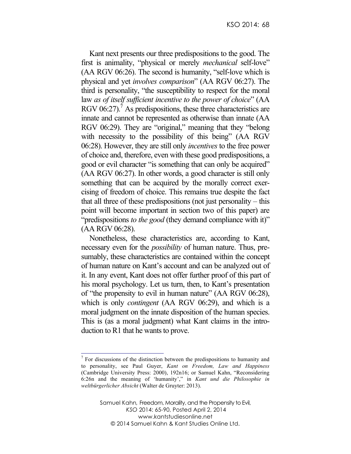Kant next presents our three predispositions to the good. The first is animality, "physical or merely *mechanical* self-love" (AA RGV 06:26). The second is humanity, "self-love which is physical and yet *involves comparison*" (AA RGV 06:27). The third is personality, "the susceptibility to respect for the moral law *as of itself sufficient incentive to the power of choice*" (AA RGV 06:27).<sup>7</sup> As predispositions, these three characteristics are innate and cannot be represented as otherwise than innate (AA RGV 06:29). They are "original," meaning that they "belong with necessity to the possibility of this being" (AA RGV 06:28). However, they are still only *incentives* to the free power of choice and, therefore, even with these good predispositions, a good or evil character "is something that can only be acquired" (AA RGV 06:27). In other words, a good character is still only something that can be acquired by the morally correct exercising of freedom of choice. This remains true despite the fact that all three of these predispositions (not just personality – this point will become important in section two of this paper) are "predispositions *to the good* (they demand compliance with it)" (AA RGV 06:28).

Nonetheless, these characteristics are, according to Kant, necessary even for the *possibility* of human nature. Thus, presumably, these characteristics are contained within the concept of human nature on Kant's account and can be analyzed out of it. In any event, Kant does not offer further proof of this part of his moral psychology. Let us turn, then, to Kant's presentation of "the propensity to evil in human nature" (AA RGV 06:28), which is only *contingent* (AA RGV 06:29), and which is a moral judgment on the innate disposition of the human species. This is (as a moral judgment) what Kant claims in the introduction to R1 that he wants to prove.

 $<sup>7</sup>$  For discussions of the distinction between the predispositions to humanity and</sup> to personality, see Paul Guyer, *Kant on Freedom, Law and Happiness* (Cambridge University Press: 2000), 192n16; or Samuel Kahn, "Reconsidering 6:26n and the meaning of 'humanity'," in *Kant und die Philosophie in weltbürgerlicher Absicht* (Walter de Gruyter: 2013).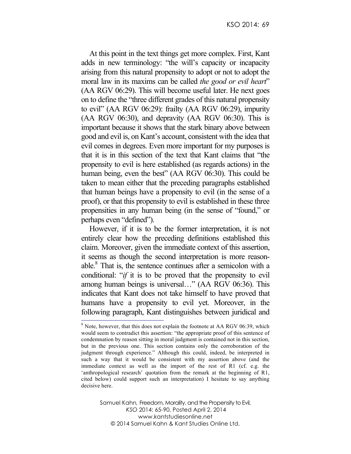At this point in the text things get more complex. First, Kant adds in new terminology: "the will's capacity or incapacity arising from this natural propensity to adopt or not to adopt the moral law in its maxims can be called *the good or evil heart*" (AA RGV 06:29). This will become useful later. He next goes on to define the "three different grades of this natural propensity to evil" (AA RGV 06:29): frailty (AA RGV 06:29), impurity (AA RGV 06:30), and depravity (AA RGV 06:30). This is important because it shows that the stark binary above between good and evil is, on Kant's account, consistent with the idea that evil comes in degrees. Even more important for my purposes is that it is in this section of the text that Kant claims that "the propensity to evil is here established (as regards actions) in the human being, even the best" (AA RGV 06:30). This could be taken to mean either that the preceding paragraphs established that human beings have a propensity to evil (in the sense of a proof), or that this propensity to evil is established in these three propensities in any human being (in the sense of "found," or perhaps even "defined").

However, if it is to be the former interpretation, it is not entirely clear how the preceding definitions established this claim. Moreover, given the immediate context of this assertion, it seems as though the second interpretation is more reasonable.8 That is, the sentence continues after a semicolon with a conditional: "*if* it is to be proved that the propensity to evil among human beings is universal…" (AA RGV 06:36). This indicates that Kant does not take himself to have proved that humans have a propensity to evil yet. Moreover, in the following paragraph, Kant distinguishes between juridical and  $\frac{1}{8}$  Note, however, that this does not explain the footnote at AA RGV 06:39, which

would seem to contradict this assertion: "the appropriate proof of this sentence of condemnation by reason sitting in moral judgment is contained not in this section, but in the previous one. This section contains only the corroboration of the judgment through experience." Although this could, indeed, be interpreted in such a way that it would be consistent with my assertion above (and the immediate context as well as the import of the rest of R1 (cf. e.g. the 'anthropological research' quotation from the remark at the beginning of R1, cited below) could support such an interpretation) I hesitate to say anything decisive here.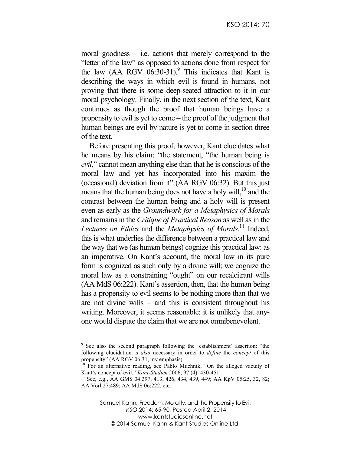moral goodness – i.e. actions that merely correspond to the "letter of the law" as opposed to actions done from respect for the law  $(AA \ RGV \ 06:30-31)$ .<sup>9</sup> This indicates that Kant is describing the ways in which evil is found in humans, not proving that there is some deep-seated attraction to it in our moral psychology. Finally, in the next section of the text, Kant continues as though the proof that human beings have a propensity to evil is yet to come – the proof of the judgment that human beings are evil by nature is yet to come in section three of the text.

Before presenting this proof, however, Kant elucidates what he means by his claim: "the statement, "the human being is *evil*," cannot mean anything else than that he is conscious of the moral law and yet has incorporated into his maxim the (occasional) deviation from it" (AA RGV 06:32). But this just means that the human being does not have a holy will, $^{10}$  and the contrast between the human being and a holy will is present even as early as the *Groundwork for a Metaphysics of Morals* and remains in the *Critique of Practical Reason* as well as in the Lectures on Ethics and the *Metaphysics of Morals*.<sup>11</sup> Indeed, this is what underlies the difference between a practical law and the way that we (as human beings) cognize this practical law: as an imperative. On Kant's account, the moral law in its pure form is cognized as such only by a divine will; we cognize the moral law as a constraining "ought" on our recalcitrant wills (AA MdS 06:222). Kant's assertion, then, that the human being has a propensity to evil seems to be nothing more than that we are not divine wills – and this is consistent throughout his writing. Moreover, it seems reasonable: it is unlikely that anyone would dispute the claim that we are not omnibenevolent.

 <sup>9</sup> See also the second paragraph following the 'establishment' assertion: "the following elucidation is *also* necessary in order to *define* the *concept* of this propensity" (AA RGV 06:31, my emphasis).

<sup>&</sup>lt;sup>10</sup> For an alternative reading, see Pablo Muchnik, "On the alleged vacuity of Kant's concept of evil," *Kant-Studien* 2006, 97 (4): 430-451.<br><sup>11</sup> See, e.g., AA GMS 04:397, 413, 426, 434, 439, 449; AA KpV 05:25, 32, 82;

AA Vorl 27:489; AA MdS 06:222, etc.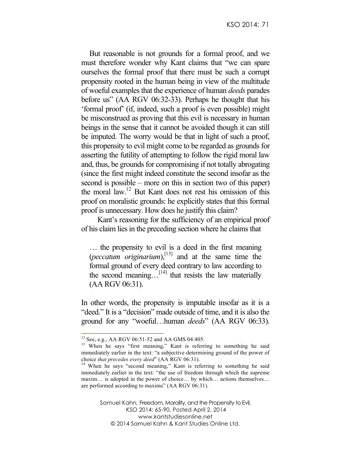But reasonable is not grounds for a formal proof, and we must therefore wonder why Kant claims that "we can spare ourselves the formal proof that there must be such a corrupt propensity rooted in the human being in view of the multitude of woeful examples that the experience of human *deeds* parades before us" (AA RGV 06:32-33). Perhaps he thought that his 'formal proof' (if, indeed, such a proof is even possible) might be misconstrued as proving that this evil is necessary in human beings in the sense that it cannot be avoided though it can still be imputed. The worry would be that in light of such a proof, this propensity to evil might come to be regarded as grounds for asserting the futility of attempting to follow the rigid moral law and, thus, be grounds for compromising if not totally abrogating (since the first might indeed constitute the second insofar as the second is possible – more on this in section two of this paper) the moral  $law$ <sup>12</sup> But Kant does not rest his omission of this proof on moralistic grounds: he explicitly states that this formal proof is unnecessary. How does he justify this claim?

Kant's reasoning for the sufficiency of an empirical proof of his claim lies in the preceding section where he claims that

… the propensity to evil is a deed in the first meaning (*peccatum originarium*), [13] and at the same time the formal ground of every deed contrary to law according to the second meaning.  $[14]$  that resists the law materially (AA RGV 06:31).

In other words, the propensity is imputable insofar as it is a "deed." It is a "decision" made outside of time, and it is also the ground for any "woeful…human *deeds*" (AA RGV 06:33).

<sup>&</sup>lt;sup>12</sup> See, e.g., AA RGV 06:51-52 and AA GMS 04:405.<br><sup>13</sup> When he says "first meaning," Kant is referring to something he said immediately earlier in the text: "a subjective determining ground of the power of

choice *that precedes every deed*" (AA RGV 06:31).<br><sup>14</sup> When he says "second meaning," Kant is referring to something he said immediately earlier in the text: "the use of freedom through which the supreme maxim… is adopted in the power of choice… by which… actions themselves… are performed according to maxims" (AA RGV 06:31).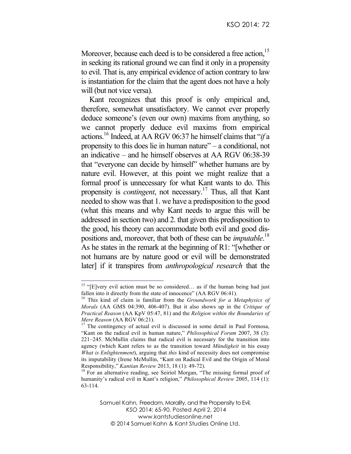Moreover, because each deed is to be considered a free action.<sup>15</sup> in seeking its rational ground we can find it only in a propensity to evil. That is, any empirical evidence of action contrary to law is instantiation for the claim that the agent does not have a holy will (but not vice versa).

Kant recognizes that this proof is only empirical and, therefore, somewhat unsatisfactory. We cannot ever properly deduce someone's (even our own) maxims from anything, so we cannot properly deduce evil maxims from empirical actions.16 Indeed, at AA RGV 06:37 he himself claims that "*if* a propensity to this does lie in human nature" – a conditional, not an indicative – and he himself observes at AA RGV 06:38-39 that "everyone can decide by himself" whether humans are by nature evil. However, at this point we might realize that a formal proof is unnecessary for what Kant wants to do. This propensity is *contingent*, not necessary.17 Thus, all that Kant needed to show was that 1. we have a predisposition to the good (what this means and why Kant needs to argue this will be addressed in section two) and 2. that given this predisposition to the good, his theory can accommodate both evil and good dispositions and, moreover, that both of these can be *imputable*. 18 As he states in the remark at the beginning of R1: "[whether or not humans are by nature good or evil will be demonstrated later] if it transpires from *anthropological research* that the

<sup>&</sup>lt;sup>15</sup> "[E]very evil action must be so considered... as if the human being had just fallen into it directly from the state of innocence" (AA RGV 06:41).

<sup>16</sup> This kind of claim is familiar from the *Groundwork for a Metaphysics of Morals* (AA GMS 04:390, 406-407). But it also shows up in the *Critique of Practical Reason* (AA KpV 05:47, 81) and the *Religion within the Boundaries of* 

<sup>&</sup>lt;sup>17</sup> The contingency of actual evil is discussed in some detail in Paul Formosa, "Kant on the radical evil in human nature," *Philosophical Forum* 2007, 38 (3): 221–245. McMullin claims that radical evil is necessary for the transition into agency (which Kant refers to as the transition toward *Mündigkeit* in his essay *What is Enlightenment*), arguing that *this* kind of necessity does not compromise its imputability (Irene McMullin, "Kant on Radical Evil and the Origin of Moral Responsibility," *Kantian Review* 2013, 18 (1): 49-72).<br><sup>18</sup> For an alternative reading, see Seiriol Morgan, "The missing formal proof of

humanity's radical evil in Kant's religion," *Philosophical Review* 2005, 114 (1): 63-114.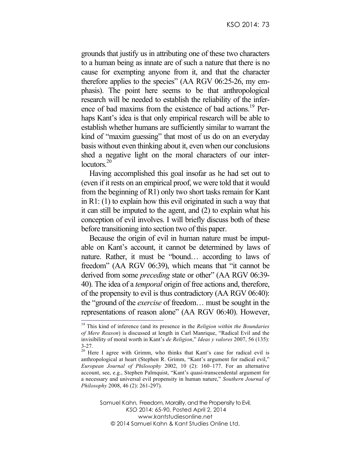grounds that justify us in attributing one of these two characters to a human being as innate are of such a nature that there is no cause for exempting anyone from it, and that the character therefore applies to the species" (AA RGV 06:25-26, my emphasis). The point here seems to be that anthropological research will be needed to establish the reliability of the inference of bad maxims from the existence of bad actions.<sup>19</sup> Perhaps Kant's idea is that only empirical research will be able to establish whether humans are sufficiently similar to warrant the kind of "maxim guessing" that most of us do on an everyday basis without even thinking about it, even when our conclusions shed a negative light on the moral characters of our interlocutors.<sup>20</sup>

Having accomplished this goal insofar as he had set out to (even if it rests on an empirical proof, we were told that it would from the beginning of R1) only two short tasks remain for Kant in R1: (1) to explain how this evil originated in such a way that it can still be imputed to the agent, and (2) to explain what his conception of evil involves. I will briefly discuss both of these before transitioning into section two of this paper.

Because the origin of evil in human nature must be imputable on Kant's account, it cannot be determined by laws of nature. Rather, it must be "bound… according to laws of freedom" (AA RGV 06:39), which means that "it cannot be derived from some *preceding* state or other" (AA RGV 06:39- 40). The idea of a *temporal* origin of free actions and, therefore, of the propensity to evil is thus contradictory (AA RGV 06:40): the "ground of the *exercise* of freedom… must be sought in the representations of reason alone" (AA RGV 06:40). However,<br><sup>19</sup> This kind of inference (and its presence in the *Religion within the Boundaries* 

*of Mere Reason*) is discussed at length in Carl Manrique, "Radical Evil and the invisibility of moral worth in Kant's *de Religion*," *Ideas y valores* 2007, 56 (135):

 $3-27$ .<br><sup>20</sup> Here I agree with Grimm, who thinks that Kant's case for radical evil is anthropological at heart (Stephen R. Grimm, "Kant's argument for radical evil," *European Journal of Philosophy* 2002, 10 (2): 160–177. For an alternative account, see, e.g., Stephen Palmquist, "Kant's quasi-transcendental argument for a necessary and universal evil propensity in human nature," *Southern Journal of Philosophy* 2008, 46 (2): 261-297).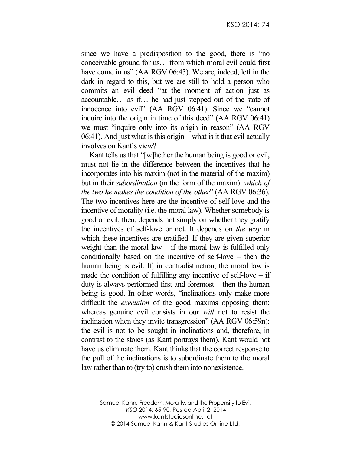since we have a predisposition to the good, there is "no conceivable ground for us… from which moral evil could first have come in us" (AA RGV 06:43). We are, indeed, left in the dark in regard to this, but we are still to hold a person who commits an evil deed "at the moment of action just as accountable… as if… he had just stepped out of the state of innocence into evil" (AA RGV 06:41). Since we "cannot inquire into the origin in time of this deed" (AA RGV 06:41) we must "inquire only into its origin in reason" (AA RGV 06:41). And just what is this origin – what is it that evil actually involves on Kant's view?

Kant tells us that "[w]hether the human being is good or evil, must not lie in the difference between the incentives that he incorporates into his maxim (not in the material of the maxim) but in their *subordination* (in the form of the maxim): *which of the two he makes the condition of the other*" (AA RGV 06:36). The two incentives here are the incentive of self-love and the incentive of morality (i.e. the moral law). Whether somebody is good or evil, then, depends not simply on whether they gratify the incentives of self-love or not. It depends on *the way* in which these incentives are gratified. If they are given superior weight than the moral law – if the moral law is fulfilled only conditionally based on the incentive of self-love – then the human being is evil. If, in contradistinction, the moral law is made the condition of fulfilling any incentive of self-love  $-$  if duty is always performed first and foremost – then the human being is good. In other words, "inclinations only make more difficult the *execution* of the good maxims opposing them; whereas genuine evil consists in our *will* not to resist the inclination when they invite transgression" (AA RGV 06:59n): the evil is not to be sought in inclinations and, therefore, in contrast to the stoics (as Kant portrays them), Kant would not have us eliminate them. Kant thinks that the correct response to the pull of the inclinations is to subordinate them to the moral law rather than to (try to) crush them into nonexistence.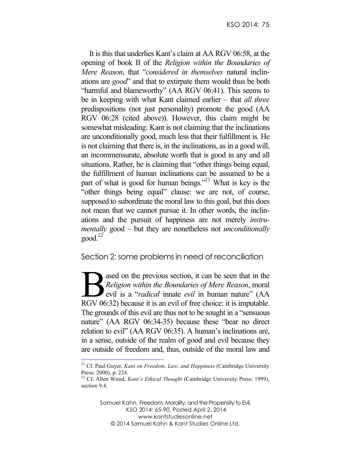It is this that underlies Kant's claim at AA RGV 06:58, at the opening of book II of the *Religion within the Boundaries of Mere Reason*, that "*considered in themselves* natural inclinations are *good*" and that to extirpate them would thus be both "harmful and blameworthy" (AA RGV 06:41). This seems to be in keeping with what Kant claimed earlier – that *all three* predispositions (not just personality) promote the good (AA RGV 06:28 (cited above)). However, this claim might be somewhat misleading: Kant is not claiming that the inclinations are unconditionally good, much less that their fulfillment is. He is not claiming that there is, in the inclinations, as in a good will, an incommensurate, absolute worth that is good in any and all situations. Rather, he is claiming that "other things being equal, the fulfillment of human inclinations can be assumed to be a part of what is good for human beings."<sup>21</sup> What is key is the "other things being equal" clause: we are not, of course, supposed to subordinate the moral law to this goal, but this does not mean that we cannot pursue it. In other words, the inclinations and the pursuit of happiness are not merely *instrumentally* good – but they are nonetheless not *unconditionally*  $\text{good.}^{22}$ 

Section 2: some problems in need of reconciliation

ased on the previous section, it can be seen that in the *Religion within the Boundaries of Mere Reason*, moral evil is a "*radical* innate *evil* in human nature" (AA Religion within the Boundaries of Mere Reason, moral<br>evil is a "radical innate evil in human nature" (AA<br>RGV 06:32) because it is an evil of free choice: it is imputable. The grounds of this evil are thus not to be sought in a "sensuous nature" (AA RGV 06:34-35) because these "bear no direct relation to evil" (AA RGV 06:35). A human's inclinations are, in a sense, outside of the realm of good and evil because they are outside of freedom and, thus, outside of the moral law and

 <sup>21</sup> Cf. Paul Guyer, *Kant on Freedom, Law, and Happiness* (Cambridge University Press: 2000), p. 224.

<sup>&</sup>lt;sup>22</sup> Cf. Allen Wood, *Kant's Ethical Thought* (Cambridge University Press: 1999), section 9.4.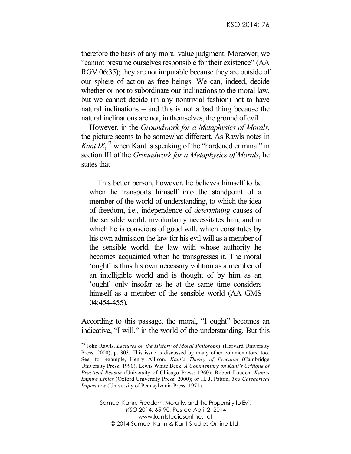therefore the basis of any moral value judgment. Moreover, we "cannot presume ourselves responsible for their existence" (AA RGV 06:35); they are not imputable because they are outside of our sphere of action as free beings. We can, indeed, decide whether or not to subordinate our inclinations to the moral law, but we cannot decide (in any nontrivial fashion) not to have natural inclinations – and this is not a bad thing because the natural inclinations are not, in themselves, the ground of evil.

However, in the *Groundwork for a Metaphysics of Morals*, the picture seems to be somewhat different. As Rawls notes in *Kant*  $IX$ <sup>23</sup>, when Kant is speaking of the "hardened criminal" in section III of the *Groundwork for a Metaphysics of Morals*, he states that

This better person, however, he believes himself to be when he transports himself into the standpoint of a member of the world of understanding, to which the idea of freedom, i.e., independence of *determining* causes of the sensible world, involuntarily necessitates him, and in which he is conscious of good will, which constitutes by his own admission the law for his evil will as a member of the sensible world, the law with whose authority he becomes acquainted when he transgresses it. The moral 'ought' is thus his own necessary volition as a member of an intelligible world and is thought of by him as an 'ought' only insofar as he at the same time considers himself as a member of the sensible world (AA GMS 04:454-455).

According to this passage, the moral, "I ought" becomes an indicative, "I will," in the world of the understanding. But this

 <sup>23</sup> John Rawls, *Lectures on the History of Moral Philosophy* (Harvard University Press: 2000), p. 303. This issue is discussed by many other commentators, too. See, for example, Henry Allison, *Kant's Theory of Freedom* (Cambridge University Press: 1990); Lewis White Beck, *A Commentary on Kant's Critique of Practical Reason* (University of Chicago Press: 1960); Robert Louden, *Kant's Impure Ethics* (Oxford University Press: 2000); or H. J. Patton, *The Categorical Imperative* (University of Pennsylvania Press: 1971).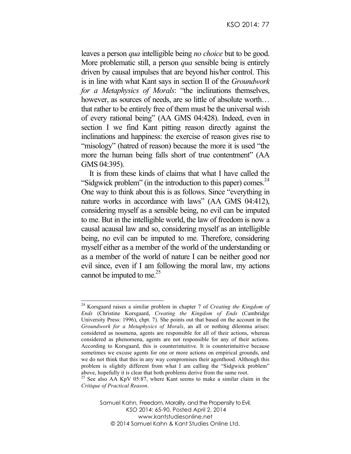leaves a person *qua* intelligible being *no choice* but to be good. More problematic still, a person *qua* sensible being is entirely driven by causal impulses that are beyond his/her control. This is in line with what Kant says in section II of the *Groundwork for a Metaphysics of Morals*: "the inclinations themselves, however, as sources of needs, are so little of absolute worth... that rather to be entirely free of them must be the universal wish of every rational being" (AA GMS 04:428). Indeed, even in section I we find Kant pitting reason directly against the inclinations and happiness: the exercise of reason gives rise to "misology" (hatred of reason) because the more it is used "the more the human being falls short of true contentment" (AA GMS 04:395).

It is from these kinds of claims that what I have called the "Sidgwick problem" (in the introduction to this paper) comes.<sup>24</sup> One way to think about this is as follows. Since "everything in nature works in accordance with laws" (AA GMS 04:412), considering myself as a sensible being, no evil can be imputed to me. But in the intelligible world, the law of freedom is now a causal acausal law and so, considering myself as an intelligible being, no evil can be imputed to me. Therefore, considering myself either as a member of the world of the understanding or as a member of the world of nature I can be neither good nor evil since, even if I am following the moral law, my actions cannot be imputed to me. $25$ 

 <sup>24</sup> Korsgaard raises a similar problem in chapter 7 of *Creating the Kingdom of Ends* (Christine Korsgaard, *Creating the Kingdom of Ends* (Cambridge University Press: 1996), chpt. 7). She points out that based on the account in the *Groundwork for a Metaphysics of Morals*, an all or nothing dilemma arises: considered as noumena, agents are responsible for all of their actions, whereas considered as phenomena, agents are not responsible for any of their actions. According to Korsgaard, this is counterintuitive. It is counterintuitive because sometimes we excuse agents for one or more actions on empirical grounds, and we do not think that this in any way compromises their agenthood. Although this problem is slightly different from what I am calling the "Sidgwick problem" above, hopefully it is clear that both problems derive from the same root. <sup>25</sup> See also AA KpV 05:87, where Kant seems to make a similar claim in the

*Critique of Practical Reason*.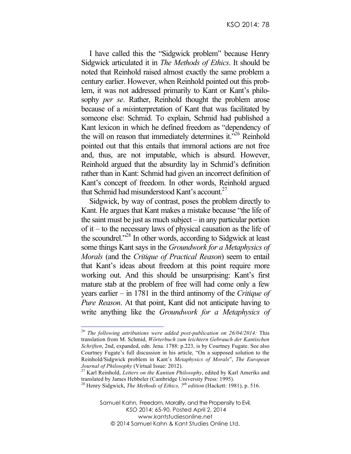I have called this the "Sidgwick problem" because Henry Sidgwick articulated it in *The Methods of Ethics*. It should be noted that Reinhold raised almost exactly the same problem a century earlier. However, when Reinhold pointed out this problem, it was not addressed primarily to Kant or Kant's philosophy *per se*. Rather, Reinhold thought the problem arose because of a *mis*interpretation of Kant that was facilitated by someone else: Schmid. To explain, Schmid had published a Kant lexicon in which he defined freedom as "dependency of the will on reason that immediately determines it.<sup>726</sup> Reinhold pointed out that this entails that immoral actions are not free and, thus, are not imputable, which is absurd. However, Reinhold argued that the absurdity lay in Schmid's definition rather than in Kant: Schmid had given an incorrect definition of Kant's concept of freedom. In other words, Reinhold argued that Schmid had misunderstood Kant's account.<sup>27</sup>

Sidgwick, by way of contrast, poses the problem directly to Kant. He argues that Kant makes a mistake because "the life of the saint must be just as much subject – in any particular portion of it – to the necessary laws of physical causation as the life of the scoundrel."28 In other words, according to Sidgwick at least some things Kant says in the *Groundwork for a Metaphysics of Morals* (and the *Critique of Practical Reason*) seem to entail that Kant's ideas about freedom at this point require more working out. And this should be unsurprising: Kant's first mature stab at the problem of free will had come only a few years earlier – in 1781 in the third antinomy of the *Critique of Pure Reason*. At that point, Kant did not anticipate having to write anything like the *Groundwork for a Metaphysics of* 

 <sup>26</sup> *The following attributions were added post-publication on 26/04/2014:* This translation from M. Schmid, *Wörterbuch zum leichtern Gebrauch der Kantischen Schriften*, 2nd, expanded, edn. Jena. 1788: p.223, is by Courtney Fugate. See also Courtney Fugate's full discussion in his article, "On a supposed solution to the Reinhold/Sidgwick problem in Kant's *Metaphysics of Morals*", *The European Journal of Philosophy* (Virtual Issue: 2012).<br><sup>27</sup> Karl Reinhold, *Letters on the Kantian Philosophy*, edited by Karl Ameriks and

translated by James Hebbeler (Cambridge University Press: 1995).

<sup>28</sup> Henry Sidgwick, *The Methods of Ethics, 7th edition* (Hackett: 1981), p. 516.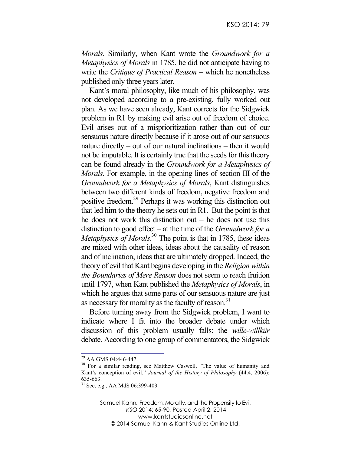*Morals*. Similarly, when Kant wrote the *Groundwork for a Metaphysics of Morals* in 1785, he did not anticipate having to write the *Critique of Practical Reason* – which he nonetheless published only three years later.

Kant's moral philosophy, like much of his philosophy, was not developed according to a pre-existing, fully worked out plan. As we have seen already, Kant corrects for the Sidgwick problem in R1 by making evil arise out of freedom of choice. Evil arises out of a misprioritization rather than out of our sensuous nature directly because if it arose out of our sensuous nature directly – out of our natural inclinations – then it would not be imputable. It is certainly true that the seeds for this theory can be found already in the *Groundwork for a Metaphysics of Morals*. For example, in the opening lines of section III of the *Groundwork for a Metaphysics of Morals*, Kant distinguishes between two different kinds of freedom, negative freedom and positive freedom.29 Perhaps it was working this distinction out that led him to the theory he sets out in R1. But the point is that he does not work this distinction out – he does not use this distinction to good effect – at the time of the *Groundwork for a Metaphysics of Morals*. <sup>30</sup> The point is that in 1785, these ideas are mixed with other ideas, ideas about the causality of reason and of inclination, ideas that are ultimately dropped. Indeed, the theory of evil that Kant begins developing in the *Religion within the Boundaries of Mere Reason* does not seem to reach fruition until 1797, when Kant published the *Metaphysics of Morals*, in which he argues that some parts of our sensuous nature are just as necessary for morality as the faculty of reason. $31$ 

Before turning away from the Sidgwick problem, I want to indicate where I fit into the broader debate under which discussion of this problem usually falls: the *wille-willkür*  debate. According to one group of commentators, the Sidgwick

 $^{29}$  AA GMS 04:446-447.<br><sup>30</sup> For a similar reading, see Matthew Caswell, "The value of humanity and Kant's conception of evil," *Journal of the History of Philosophy* (44.4, 2006): 635-663. <sup>31</sup> See, e.g., AA MdS 06:399-403.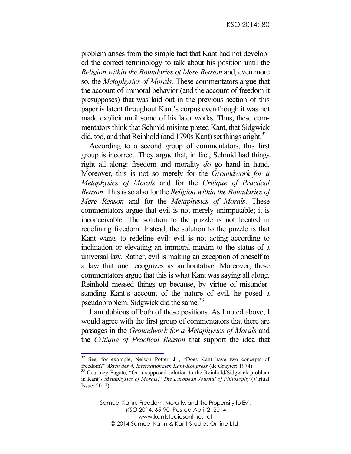problem arises from the simple fact that Kant had not developed the correct terminology to talk about his position until the *Religion within the Boundaries of Mere Reason* and, even more so, the *Metaphysics of Morals.* These commentators argue that the account of immoral behavior (and the account of freedom it presupposes) that was laid out in the previous section of this paper is latent throughout Kant's corpus even though it was not made explicit until some of his later works. Thus, these commentators think that Schmid misinterpreted Kant, that Sidgwick did, too, and that Reinhold (and 1790s Kant) set things aright.<sup>32</sup>

According to a second group of commentators, this first group is incorrect. They argue that, in fact, Schmid had things right all along: freedom and morality *do* go hand in hand. Moreover, this is not so merely for the *Groundwork for a Metaphysics of Morals* and for the *Critique of Practical Reason*. This is so also for the *Religion within the Boundaries of Mere Reason* and for the *Metaphysics of Morals*. These commentators argue that evil is not merely unimputable; it is inconceivable. The solution to the puzzle is not located in redefining freedom. Instead, the solution to the puzzle is that Kant wants to redefine evil: evil is not acting according to inclination or elevating an immoral maxim to the status of a universal law. Rather, evil is making an exception of oneself to a law that one recognizes as authoritative. Moreover, these commentators argue that this is what Kant was saying all along. Reinhold messed things up because, by virtue of misunderstanding Kant's account of the nature of evil, he posed a pseudoproblem. Sidgwick did the same.<sup>33</sup>

I am dubious of both of these positions. As I noted above, I would agree with the first group of commentators that there are passages in the *Groundwork for a Metaphysics of Morals* and the *Critique of Practical Reason* that support the idea that

 $32$  See, for example, Nelson Potter, Jr., "Does Kant have two concepts of freedom?" Akten des 4. Internationalen Kant-Kongress (de Gruyter: 1974).

<sup>&</sup>lt;sup>33</sup> Courtney Fugate, "On a supposed solution to the Reinhold/Sidgwick problem in Kant's *Metaphysics of Morals*," *The European Journal of Philosophy* (Virtual Issue: 2012).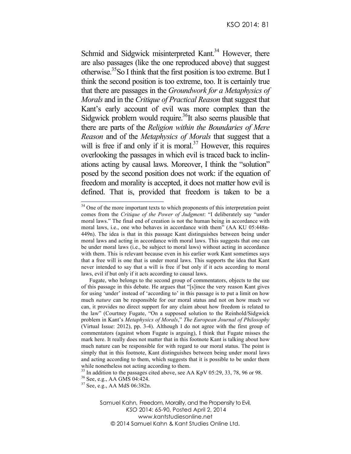Schmid and Sidgwick misinterpreted Kant.<sup>34</sup> However, there are also passages (like the one reproduced above) that suggest otherwise.35So I think that the first position is too extreme. But I think the second position is too extreme, too. It is certainly true that there are passages in the *Groundwork for a Metaphysics of Morals* and in the *Critique of Practical Reason* that suggest that Kant's early account of evil was more complex than the Sidgwick problem would require.<sup>36</sup>It also seems plausible that there are parts of the *Religion within the Boundaries of Mere Reason* and of the *Metaphysics of Morals* that suggest that a will is free if and only if it is moral.<sup>37</sup> However, this requires overlooking the passages in which evil is traced back to inclinations acting by causal laws. Moreover, I think the "solution" posed by the second position does not work: if the equation of freedom and morality is accepted, it does not matter how evil is defined. That is, provided that freedom is taken to be a

<sup>&</sup>lt;sup>34</sup> One of the more important texts to which proponents of this interpretation point comes from the *Critique of the Power of Judgment*: "I deliberately say "under moral laws." The final end of creation is not the human being in accordance with moral laws, i.e., one who behaves in accordance with them" (AA KU 05:448n-449n). The idea is that in this passage Kant distinguishes between being under moral laws and acting in accordance with moral laws. This suggests that one can be under moral laws (i.e., be subject to moral laws) without acting in accordance with them. This is relevant because even in his earlier work Kant sometimes says that a free will is one that is under moral laws. This supports the idea that Kant never intended to say that a will is free if but only if it acts according to moral laws, evil if but only if it acts according to causal laws.

Fugate, who belongs to the second group of commentators, objects to the use of this passage in this debate. He argues that "[s]ince the very reason Kant gives for using 'under' instead of 'according to' in this passage is to put a limit on how much *nature* can be responsible for our moral status and not on how much *we*  can, it provides no direct support for any claim about how freedom is related to the law" (Courtney Fugate, "On a supposed solution to the Reinhold/Sidgwick problem in Kant's *Metaphysics of Morals*," *The European Journal of Philosophy* (Virtual Issue: 2012), pp. 3-4). Although I do not agree with the first group of commentators (against whom Fugate is arguing), I think that Fugate misses the mark here. It really does not matter that in this footnote Kant is talking about how much nature can be responsible for with regard to our moral status. The point is simply that in this footnote, Kant distinguishes between being under moral laws and acting according to them, which suggests that it is possible to be under them while nonetheless not acting according to them.

<sup>&</sup>lt;sup>35</sup> In addition to the passages cited above, see AA KpV 05:29, 33, 78, 96 or 98.<br><sup>36</sup> See, e.g., AA GMS 04:424.<br><sup>37</sup> See, e.g., AA MdS 06:382n.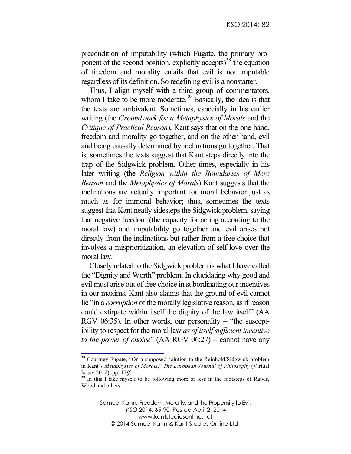precondition of imputability (which Fugate, the primary proponent of the second position, explicitly accepts)<sup>38</sup> the equation of freedom and morality entails that evil is not imputable regardless of its definition. So redefining evil is a nonstarter.

Thus, I align myself with a third group of commentators, whom I take to be more moderate.<sup>39</sup> Basically, the idea is that the texts are ambivalent. Sometimes, especially in his earlier writing (the *Groundwork for a Metaphysics of Morals* and the *Critique of Practical Reason*), Kant says that on the one hand, freedom and morality go together, and on the other hand, evil and being causally determined by inclinations go together. That is, sometimes the texts suggest that Kant steps directly into the trap of the Sidgwick problem. Other times, especially in his later writing (the *Religion within the Boundaries of Mere Reason* and the *Metaphysics of Morals*) Kant suggests that the inclinations are actually important for moral behavior just as much as for immoral behavior; thus, sometimes the texts suggest that Kant neatly sidesteps the Sidgwick problem, saying that negative freedom (the capacity for acting according to the moral law) and imputability go together and evil arises not directly from the inclinations but rather from a free choice that involves a misprioritization, an elevation of self-love over the moral law.

Closely related to the Sidgwick problem is what I have called the "Dignity and Worth" problem. In elucidating why good and evil must arise out of free choice in subordinating our incentives in our maxims, Kant also claims that the ground of evil cannot lie "in a *corruption* of the morally legislative reason, as if reason could extirpate within itself the dignity of the law itself" (AA RGV 06:35). In other words, our personality – "the susceptibility to respect for the moral law *as of itself sufficient incentive to the power of choice*" (AA RGV 06:27) – cannot have any

<sup>&</sup>lt;sup>38</sup> Courtney Fugate, "On a supposed solution to the Reinhold/Sidgwick problem in Kant's *Metaphysics of Morals*," *The European Journal of Philosophy* (Virtual Issue: 2012), pp. 17*ff*.<br><sup>39</sup> In this I take myself to be following more or less in the footsteps of Rawls,

Wood and others.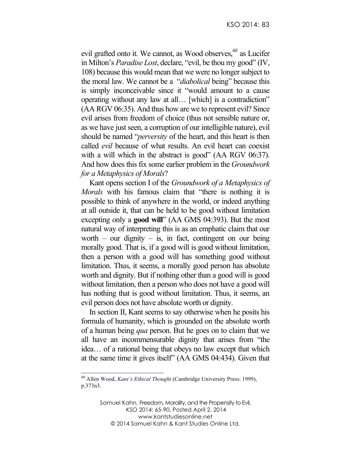evil grafted onto it. We cannot, as Wood observes,<sup>40</sup> as Lucifer in Milton's *Paradise Lost*, declare, "evil, be thou my good" (IV, 108) because this would mean that we were no longer subject to the moral law. We cannot be a "*diabolical* being" because this is simply inconceivable since it "would amount to a cause operating without any law at all… [which] is a contradiction" (AA RGV 06:35). And thus how are we to represent evil? Since evil arises from freedom of choice (thus not sensible nature or, as we have just seen, a corruption of our intelligible nature), evil should be named "*perversity* of the heart, and this heart is then called *evil* because of what results. An evil heart can coexist with a will which in the abstract is good" (AA RGV 06:37). And how does this fix some earlier problem in the *Groundwork for a Metaphysics of Morals*?

Kant opens section I of the *Groundwork of a Metaphysics of Morals* with his famous claim that "there is nothing it is possible to think of anywhere in the world, or indeed anything at all outside it, that can be held to be good without limitation excepting only a **good will**" (AA GMS 04:393). But the most natural way of interpreting this is as an emphatic claim that our worth – our dignity – is, in fact, contingent on our being morally good. That is, if a good will is good without limitation, then a person with a good will has something good without limitation. Thus, it seems, a morally good person has absolute worth and dignity. But if nothing other than a good will is good without limitation, then a person who does not have a good will has nothing that is good without limitation. Thus, it seems, an evil person does not have absolute worth or dignity.

In section II, Kant seems to say otherwise when he posits his formula of humanity, which is grounded on the absolute worth of a human being *qua* person. But he goes on to claim that we all have an incommensurable dignity that arises from "the idea… of a rational being that obeys no law except that which at the same time it gives itself" (AA GMS 04:434). Given that

 <sup>40</sup> Allen Wood, *Kant's Ethical Thought* (Cambridge University Press: 1999), p.373n3.

Samuel Kahn*,* Freedom, Morality, and the Propensity to Evil, *KSO* 2014: 65-90, Posted April 2, 2014 www.kantstudiesonline.net © 2014 Samuel Kahn & Kant Studies Online Ltd.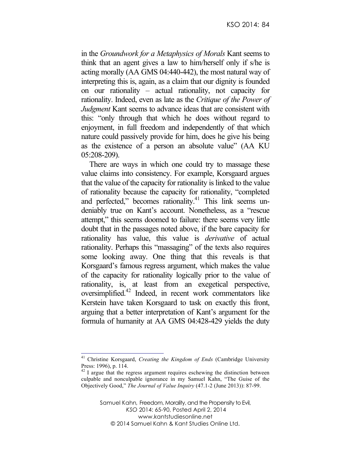in the *Groundwork for a Metaphysics of Morals* Kant seems to think that an agent gives a law to him/herself only if s/he is acting morally (AA GMS 04:440-442), the most natural way of interpreting this is, again, as a claim that our dignity is founded on our rationality – actual rationality, not capacity for rationality. Indeed, even as late as the *Critique of the Power of Judgment* Kant seems to advance ideas that are consistent with this: "only through that which he does without regard to enjoyment, in full freedom and independently of that which nature could passively provide for him, does he give his being as the existence of a person an absolute value" (AA KU 05:208-209).

There are ways in which one could try to massage these value claims into consistency. For example, Korsgaard argues that the value of the capacity for rationality is linked to the value of rationality because the capacity for rationality, "completed and perfected," becomes rationality.<sup>41</sup> This link seems undeniably true on Kant's account. Nonetheless, as a "rescue attempt," this seems doomed to failure: there seems very little doubt that in the passages noted above, if the bare capacity for rationality has value, this value is *derivative* of actual rationality. Perhaps this "massaging" of the texts also requires some looking away. One thing that this reveals is that Korsgaard's famous regress argument, which makes the value of the capacity for rationality logically prior to the value of rationality, is, at least from an exegetical perspective, oversimplified.42 Indeed, in recent work commentators like Kerstein have taken Korsgaard to task on exactly this front, arguing that a better interpretation of Kant's argument for the formula of humanity at AA GMS 04:428-429 yields the duty

 <sup>41</sup> Christine Korsgaard, *Creating the Kingdom of Ends* (Cambridge University Press: 1996), p. 114.

 $42$  I argue that the regress argument requires eschewing the distinction between culpable and nonculpable ignorance in my Samuel Kahn, "The Guise of the Objectively Good," *The Journal of Value Inquiry* (47.1-2 (June 2013)): 87-99.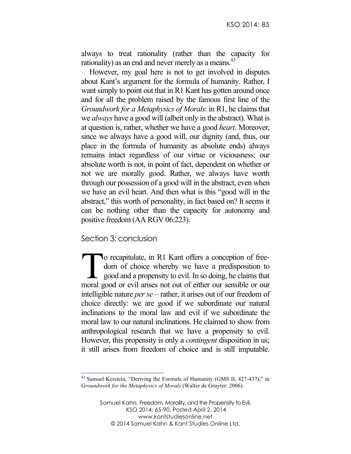always to treat rationality (rather than the capacity for rationality) as an end and never merely as a means. $43$ 

However, my goal here is not to get involved in disputes about Kant's argument for the formula of humanity. Rather, I want simply to point out that in R1 Kant has gotten around once and for all the problem raised by the famous first line of the *Groundwork for a Metaphysics of Morals*: in R1, he claims that we *always* have a good will (albeit only in the abstract). What is at question is, rather, whether we have a good *heart*. Moreover, since we always have a good will, our dignity (and, thus, our place in the formula of humanity as absolute ends) always remains intact regardless of our virtue or viciousness: our absolute worth is not, in point of fact, dependent on whether or not we are morally good. Rather, we always have worth through our possession of a good will in the abstract, even when we have an evil heart. And then what is this "good will in the abstract," this worth of personality, in fact based on? It seems it can be nothing other than the capacity for autonomy and positive freedom (AA RGV 06:223).

## Section 3: conclusion

o recapitulate, in R1 Kant offers a conception of freedom of choice whereby we have a predisposition to  $\mathsf{L}\,$  good and a propensity to evil. In so doing, he claims that To recapitulate, in R1 Kant offers a conception of free-<br>dom of choice whereby we have a predisposition to<br>good and a propensity to evil. In so doing, he claims that<br>moral good or evil arises not out of either our sensible intelligible nature *per se* – rather, it arises out of our freedom of choice directly: we are good if we subordinate our natural inclinations to the moral law and evil if we subordinate the moral law to our natural inclinations. He claimed to show from anthropological research that we have a propensity to evil. However, this propensity is only a *contingent* disposition in us; it still arises from freedom of choice and is still imputable.

<sup>&</sup>lt;sup>43</sup> Samuel Kerstein, "Deriving the Formula of Humanity (GMS II, 427-437)," in *Groundwork for the Metaphysics of Morals* (Walter de Gruyter: 2006).

Samuel Kahn*,* Freedom, Morality, and the Propensity to Evil, *KSO* 2014: 65-90, Posted April 2, 2014 www.kantstudiesonline.net © 2014 Samuel Kahn & Kant Studies Online Ltd.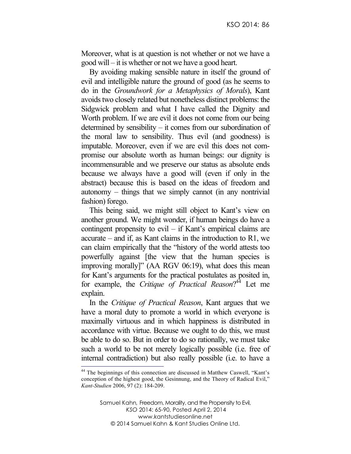Moreover, what is at question is not whether or not we have a good will – it is whether or not we have a good heart.

By avoiding making sensible nature in itself the ground of evil and intelligible nature the ground of good (as he seems to do in the *Groundwork for a Metaphysics of Morals*), Kant avoids two closely related but nonetheless distinct problems: the Sidgwick problem and what I have called the Dignity and Worth problem. If we are evil it does not come from our being determined by sensibility – it comes from our subordination of the moral law to sensibility. Thus evil (and goodness) is imputable. Moreover, even if we are evil this does not compromise our absolute worth as human beings: our dignity is incommensurable and we preserve our status as absolute ends because we always have a good will (even if only in the abstract) because this is based on the ideas of freedom and autonomy – things that we simply cannot (in any nontrivial fashion) forego.

This being said, we might still object to Kant's view on another ground. We might wonder, if human beings do have a contingent propensity to evil – if Kant's empirical claims are accurate – and if, as Kant claims in the introduction to R1, we can claim empirically that the "history of the world attests too powerfully against [the view that the human species is improving morally]" (AA RGV 06:19), what does this mean for Kant's arguments for the practical postulates as posited in, for example, the *Critique of Practical Reason*? <sup>44</sup> Let me explain.

In the *Critique of Practical Reason*, Kant argues that we have a moral duty to promote a world in which everyone is maximally virtuous and in which happiness is distributed in accordance with virtue. Because we ought to do this, we must be able to do so. But in order to do so rationally, we must take such a world to be not merely logically possible (i.e. free of internal contradiction) but also really possible (i.e. to have a

 <sup>44</sup> The beginnings of this connection are discussed in Matthew Caswell, "Kant's conception of the highest good, the Gesinnung, and the Theory of Radical Evil," *Kant-Studien* 2006, 97 (2): 184-209.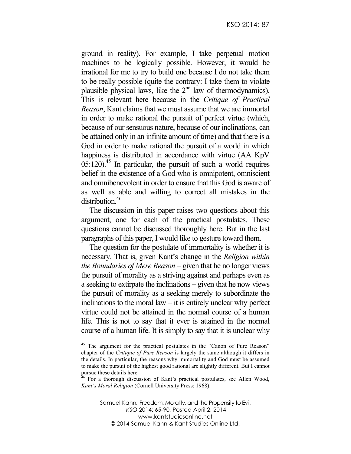ground in reality). For example, I take perpetual motion machines to be logically possible. However, it would be irrational for me to try to build one because I do not take them to be really possible (quite the contrary: I take them to violate plausible physical laws, like the  $2<sup>nd</sup>$  law of thermodynamics). This is relevant here because in the *Critique of Practical Reason*, Kant claims that we must assume that we are immortal in order to make rational the pursuit of perfect virtue (which, because of our sensuous nature, because of our inclinations, can be attained only in an infinite amount of time) and that there is a God in order to make rational the pursuit of a world in which happiness is distributed in accordance with virtue (AA KpV)  $0.5:120$ <sup>45</sup> In particular, the pursuit of such a world requires belief in the existence of a God who is omnipotent, omniscient and omnibenevolent in order to ensure that this God is aware of as well as able and willing to correct all mistakes in the distribution.<sup>46</sup>

The discussion in this paper raises two questions about this argument, one for each of the practical postulates. These questions cannot be discussed thoroughly here. But in the last paragraphs of this paper, I would like to gesture toward them.

The question for the postulate of immortality is whether it is necessary. That is, given Kant's change in the *Religion within the Boundaries of Mere Reason* – given that he no longer views the pursuit of morality as a striving against and perhaps even as a seeking to extirpate the inclinations – given that he now views the pursuit of morality as a seeking merely to subordinate the inclinations to the moral law – it is entirely unclear why perfect virtue could not be attained in the normal course of a human life. This is not to say that it ever is attained in the normal course of a human life. It is simply to say that it is unclear why

<sup>&</sup>lt;sup>45</sup> The argument for the practical postulates in the "Canon of Pure Reason" chapter of the *Critique of Pure Reason* is largely the same although it differs in the details. In particular, the reasons why immortality and God must be assumed to make the pursuit of the highest good rational are slightly different. But I cannot pursue these details here.

<sup>&</sup>lt;sup>46</sup> For a thorough discussion of Kant's practical postulates, see Allen Wood, *Kant's Moral Religion* (Cornell University Press: 1968).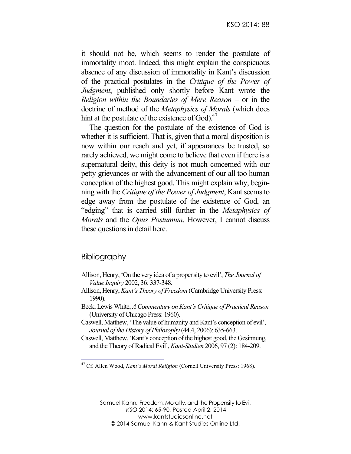it should not be, which seems to render the postulate of immortality moot. Indeed, this might explain the conspicuous absence of any discussion of immortality in Kant's discussion of the practical postulates in the *Critique of the Power of Judgment*, published only shortly before Kant wrote the *Religion within the Boundaries of Mere Reason* – or in the doctrine of method of the *Metaphysics of Morals* (which does hint at the postulate of the existence of God). $47$ 

The question for the postulate of the existence of God is whether it is sufficient. That is, given that a moral disposition is now within our reach and yet, if appearances be trusted, so rarely achieved, we might come to believe that even if there is a supernatural deity, this deity is not much concerned with our petty grievances or with the advancement of our all too human conception of the highest good. This might explain why, beginning with the *Critique of the Power of Judgment*, Kant seems to edge away from the postulate of the existence of God, an "edging" that is carried still further in the *Metaphysics of Morals* and the *Opus Postumum*. However, I cannot discuss these questions in detail here.

## **Bibliography**

- Allison, Henry, 'On the very idea of a propensity to evil', *The Journal of Value Inquiry* 2002, 36: 337-348.
- Allison, Henry, *Kant's Theory of Freedom* (Cambridge University Press: 1990).
- Beck, Lewis White, *A Commentary on Kant's Critique of Practical Reason*  (University of Chicago Press: 1960).
- Caswell, Matthew, 'The value of humanity and Kant's conception of evil', *Journal of the History of Philosophy* (44.4, 2006): 635-663.
- Caswell, Matthew, 'Kant's conception of the highest good, the Gesinnung, and the Theory of Radical Evil', *Kant-Studien* 2006, 97 (2): 184-209.

 <sup>47</sup> Cf. Allen Wood, *Kant's Moral Religion* (Cornell University Press: 1968).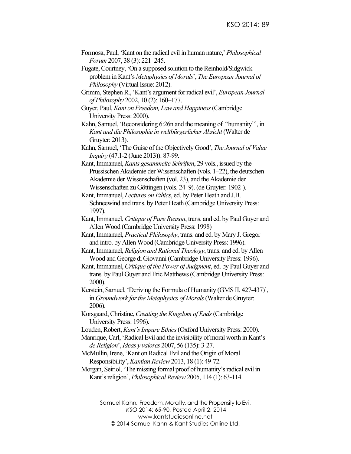- Formosa, Paul, 'Kant on the radical evil in human nature,' *Philosophical Forum* 2007, 38 (3): 221–245.
- Fugate, Courtney, 'On a supposed solution to the Reinhold/Sidgwick problem in Kant's *Metaphysics of Morals*', *The European Journal of Philosophy* (Virtual Issue: 2012).
- Grimm, Stephen R., 'Kant's argument for radical evil', *European Journal of Philosophy* 2002, 10 (2): 160–177.
- Guyer, Paul, *Kant on Freedom, Law and Happiness*(Cambridge University Press: 2000).
- Kahn, Samuel, 'Reconsidering 6:26n and the meaning of "humanity"', in *Kant und die Philosophie in weltbürgerlicher Absicht* (Walter de Gruyter: 2013).
- Kahn, Samuel, 'The Guise of the Objectively Good', *The Journal of Value Inquiry* (47.1-2 (June 2013)): 87-99.
- Kant,Immanuel,*Kants gesammelte Schriften*, 29 vols., issued by the Prussischen Akademie der Wissenschaften (vols. 1–22), the deutschen Akademie der Wissenschaften (vol. 23), and the Akademie der Wissenschaften zu Göttingen (vols. 24–9). (de Gruyter: 1902-).
- Kant, Immanuel, *Lectures on Ethics*, ed. by Peter Heath and J.B. Schneewind and trans. by Peter Heath (Cambridge University Press: 1997).
- Kant,Immanuel,*Critique of Pure Reason*, trans. and ed. by Paul Guyer and Allen Wood (Cambridge University Press: 1998)
- Kant, Immanuel, *Practical Philosophy*, trans. and ed. by Mary J. Gregor and intro. by Allen Wood (Cambridge University Press: 1996).
- Kant,Immanuel, *Religion and Rational Theology*, trans. and ed. by Allen Wood and George di Giovanni(Cambridge University Press: 1996).
- Kant,Immanuel,*Critique of the Power of Judgment*, ed. by Paul Guyer and trans. by Paul Guyer and Eric Matthews(Cambridge University Press: 2000).
- Kerstein, Samuel, 'Deriving the Formula of Humanity (GMS II, 427-437)', in *Groundwork for the Metaphysics of Morals*(Walter de Gruyter: 2006).
- Korsgaard, Christine, *Creating the Kingdom of Ends*(Cambridge University Press: 1996).
- Louden, Robert, *Kant's Impure Ethics*(Oxford University Press: 2000).
- Manrique, Carl, 'Radical Evil and the invisibility of moral worth in Kant's *de Religion*', *Ideas y valores* 2007, 56 (135): 3-27.
- McMullin, Irene, 'Kant on Radical Evil and the Origin of Moral Responsibility',*Kantian Review*2013, 18 (1): 49-72.
- Morgan, Seiriol, 'The missing formal proof of humanity's radical evil in Kant's religion', *Philosophical Review* 2005, 114 (1): 63-114.